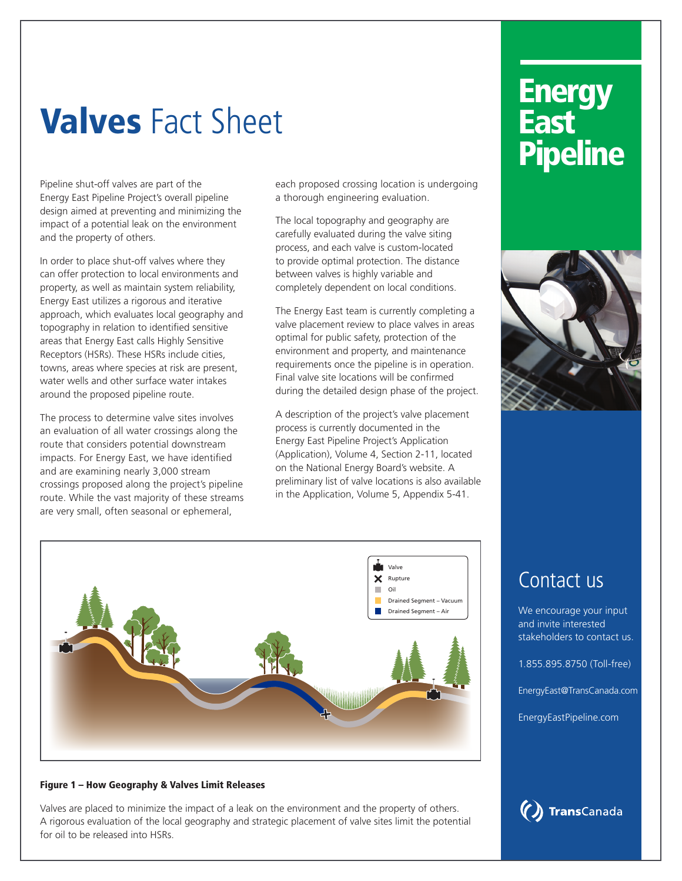# Valves Fact Sheet

Pipeline shut-off valves are part of the Energy East Pipeline Project's overall pipeline design aimed at preventing and minimizing the impact of a potential leak on the environment and the property of others.

In order to place shut-off valves where they can offer protection to local environments and property, as well as maintain system reliability, Energy East utilizes a rigorous and iterative approach, which evaluates local geography and topography in relation to identified sensitive areas that Energy East calls Highly Sensitive Receptors (HSRs). These HSRs include cities, towns, areas where species at risk are present, water wells and other surface water intakes around the proposed pipeline route.

The process to determine valve sites involves an evaluation of all water crossings along the route that considers potential downstream impacts. For Energy East, we have identified and are examining nearly 3,000 stream crossings proposed along the project's pipeline route. While the vast majority of these streams are very small, often seasonal or ephemeral,

each proposed crossing location is undergoing a thorough engineering evaluation.

The local topography and geography are carefully evaluated during the valve siting process, and each valve is custom-located to provide optimal protection. The distance between valves is highly variable and completely dependent on local conditions.

The Energy East team is currently completing a valve placement review to place valves in areas optimal for public safety, protection of the environment and property, and maintenance requirements once the pipeline is in operation. Final valve site locations will be confirmed during the detailed design phase of the project.

A description of the project's valve placement process is currently documented in the Energy East Pipeline Project's Application (Application), Volume 4, Section 2-11, located on the National Energy Board's website. A preliminary list of valve locations is also available in the Application, Volume 5, Appendix 5-41.

## **Energy** East **Pipeline**



### Contact us

We encourage your input and invite interested stakeholders to contact us.

1.855.895.8750 (Toll-free)

EnergyEast@TransCanada.com

EnergyEastPipeline.com



#### Figure 1 – How Geography & Valves Limit Releases

Valves are placed to minimize the impact of a leak on the environment and the property of others. A rigorous evaluation of the local geography and strategic placement of valve sites limit the potential for oil to be released into HSRs.